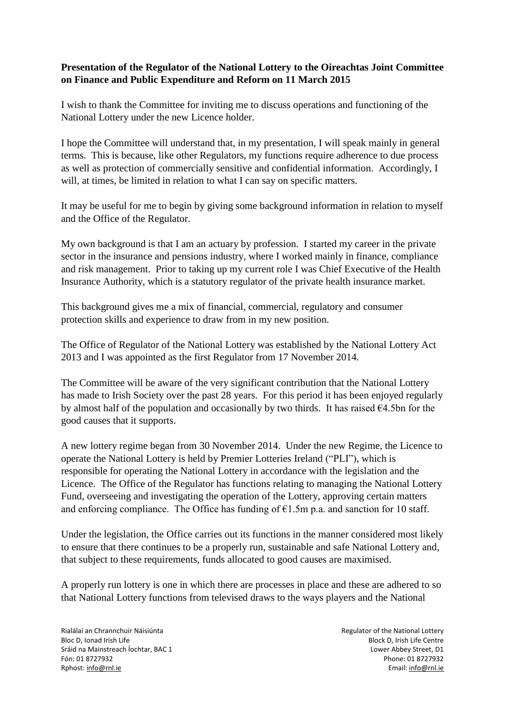## **Presentation of the Regulator of the National Lottery to the Oireachtas Joint Committee on Finance and Public Expenditure and Reform on 11 March 2015**

I wish to thank the Committee for inviting me to discuss operations and functioning of the National Lottery under the new Licence holder.

I hope the Committee will understand that, in my presentation, I will speak mainly in general terms. This is because, like other Regulators, my functions require adherence to due process as well as protection of commercially sensitive and confidential information. Accordingly, I will, at times, be limited in relation to what I can say on specific matters.

It may be useful for me to begin by giving some background information in relation to myself and the Office of the Regulator.

My own background is that I am an actuary by profession. I started my career in the private sector in the insurance and pensions industry, where I worked mainly in finance, compliance and risk management. Prior to taking up my current role I was Chief Executive of the Health Insurance Authority, which is a statutory regulator of the private health insurance market.

This background gives me a mix of financial, commercial, regulatory and consumer protection skills and experience to draw from in my new position.

The Office of Regulator of the National Lottery was established by the National Lottery Act 2013 and I was appointed as the first Regulator from 17 November 2014.

The Committee will be aware of the very significant contribution that the National Lottery has made to Irish Society over the past 28 years. For this period it has been enjoyed regularly by almost half of the population and occasionally by two thirds. It has raised  $64.5$ bn for the good causes that it supports.

A new lottery regime began from 30 November 2014. Under the new Regime, the Licence to operate the National Lottery is held by Premier Lotteries Ireland ("PLI"), which is responsible for operating the National Lottery in accordance with the legislation and the Licence. The Office of the Regulator has functions relating to managing the National Lottery Fund, overseeing and investigating the operation of the Lottery, approving certain matters and enforcing compliance. The Office has funding of  $E1.5m$  p.a. and sanction for 10 staff.

Under the legislation, the Office carries out its functions in the manner considered most likely to ensure that there continues to be a properly run, sustainable and safe National Lottery and, that subject to these requirements, funds allocated to good causes are maximised.

A properly run lottery is one in which there are processes in place and these are adhered to so that National Lottery functions from televised draws to the ways players and the National

Rialálaí an Chrannchuir Náisiúnta **Regulator an Chrannchuir Náisiúnta** Regulator of the National Lottery Bloc D, Ionad Irish Life **Block D, Irish Life Centre** Block D, Irish Life Centre Sráid na Mainstreach Íochtar, BAC 1 Lower Abbey Street, D1 Fón: 01 8727932 Phone: 01 8727932 Rphost: [info@rnl.ie](mailto:info@rnl.ie) Email: info@rnl.ie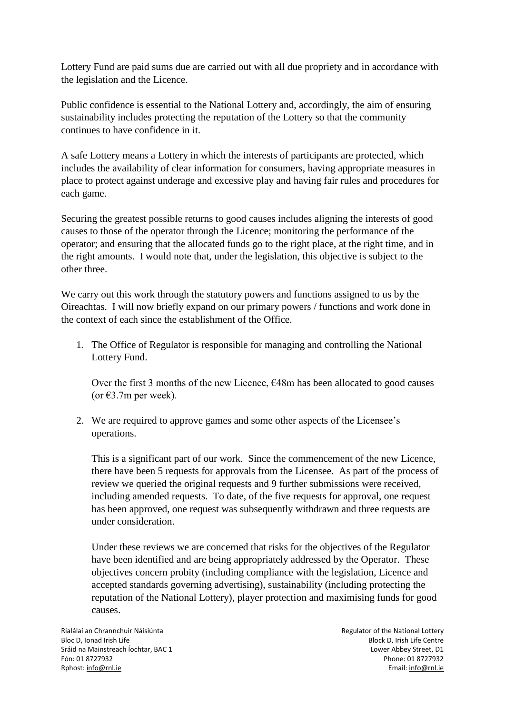Lottery Fund are paid sums due are carried out with all due propriety and in accordance with the legislation and the Licence.

Public confidence is essential to the National Lottery and, accordingly, the aim of ensuring sustainability includes protecting the reputation of the Lottery so that the community continues to have confidence in it.

A safe Lottery means a Lottery in which the interests of participants are protected, which includes the availability of clear information for consumers, having appropriate measures in place to protect against underage and excessive play and having fair rules and procedures for each game.

Securing the greatest possible returns to good causes includes aligning the interests of good causes to those of the operator through the Licence; monitoring the performance of the operator; and ensuring that the allocated funds go to the right place, at the right time, and in the right amounts. I would note that, under the legislation, this objective is subject to the other three.

We carry out this work through the statutory powers and functions assigned to us by the Oireachtas. I will now briefly expand on our primary powers / functions and work done in the context of each since the establishment of the Office.

1. The Office of Regulator is responsible for managing and controlling the National Lottery Fund.

Over the first 3 months of the new Licence,  $\epsilon$ 48m has been allocated to good causes (or  $\epsilon$ 3.7m per week).

2. We are required to approve games and some other aspects of the Licensee's operations.

This is a significant part of our work. Since the commencement of the new Licence, there have been 5 requests for approvals from the Licensee. As part of the process of review we queried the original requests and 9 further submissions were received, including amended requests. To date, of the five requests for approval, one request has been approved, one request was subsequently withdrawn and three requests are under consideration.

Under these reviews we are concerned that risks for the objectives of the Regulator have been identified and are being appropriately addressed by the Operator. These objectives concern probity (including compliance with the legislation, Licence and accepted standards governing advertising), sustainability (including protecting the reputation of the National Lottery), player protection and maximising funds for good causes.

Rialálaí an Chrannchuir Náisiúnta **Regulator an Chrannachair Náisiúnta** Regulator of the National Lottery Bloc D, Ionad Irish Life **Block D, Irish Life Centre** Block D, Irish Life Centre Sráid na Mainstreach Íochtar, BAC 1 Lower Abbey Street, D1 Fón: 01 8727932 Phone: 01 8727932 Rphost: [info@rnl.ie](mailto:info@rnl.ie) Email: info@rnl.ie